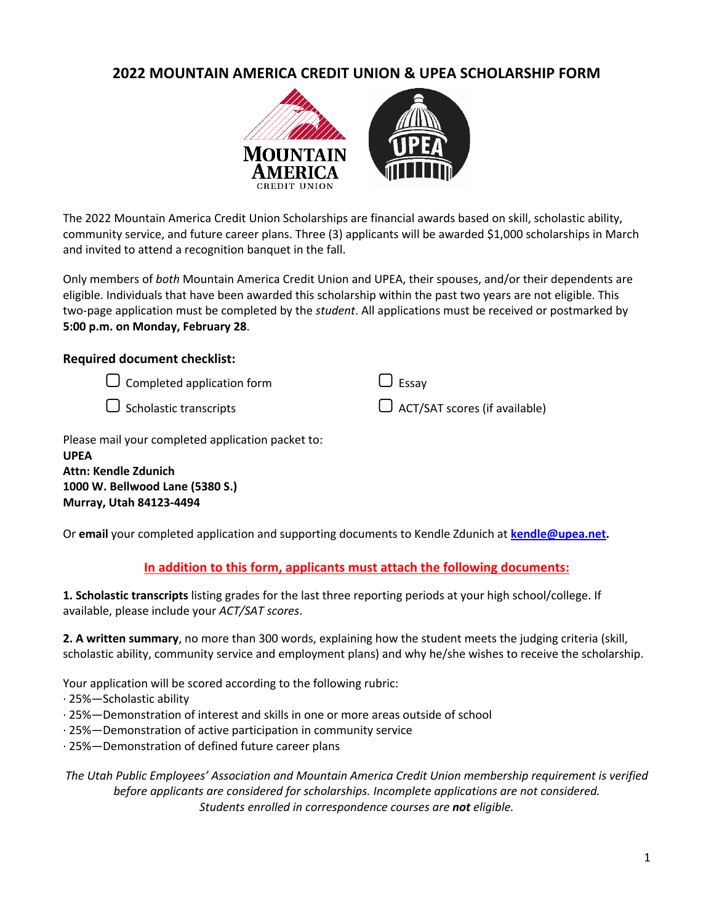# **2022 MOUNTAIN AMERICA CREDIT UNION & UPEA SCHOLARSHIP FORM**



The 2022 Mountain America Credit Union Scholarships are financial awards based on skill, scholastic ability, community service, and future career plans. Three (3) applicants will be awarded \$1,000 scholarships in March and invited to attend a recognition banquet in the fall.

Only members of *both* Mountain America Credit Union and UPEA, their spouses, and/or their dependents are eligible. Individuals that have been awarded this scholarship within the past two years are not eligible. This two-page application must be completed by the *student*. All applications must be received or postmarked by **5:00 p.m. on Monday, February 28**.

### **Required document checklist:**

- $\Box$  Completed application form
- $\Box$  Scholastic transcripts

| $\bigcup$ Essay                      |
|--------------------------------------|
| $\Box$ ACT/SAT scores (if available) |

Please mail your completed application packet to: **UPEA Attn: Kendle Zdunich 1000 W. Bellwood Lane (5380 S.)**

**Murray, Utah 84123-4494**

Or **email** your completed application and supporting documents to Kendle Zdunich at **kendle@upea.net.**

### **In addition to this form, applicants must attach the following documents:**

**1. Scholastic transcripts** listing grades for the last three reporting periods at your high school/college. If available, please include your *ACT/SAT scores*.

**2. A written summary**, no more than 300 words, explaining how the student meets the judging criteria (skill, scholastic ability, community service and employment plans) and why he/she wishes to receive the scholarship.

Your application will be scored according to the following rubric:

- · 25%—Scholastic ability
- · 25%—Demonstration of interest and skills in one or more areas outside of school
- · 25%—Demonstration of active participation in community service
- · 25%—Demonstration of defined future career plans

*The Utah Public Employees' Association and Mountain America Credit Union membership requirement is verified before applicants are considered for scholarships. Incomplete applications are not considered. Students enrolled in correspondence courses are not eligible.*